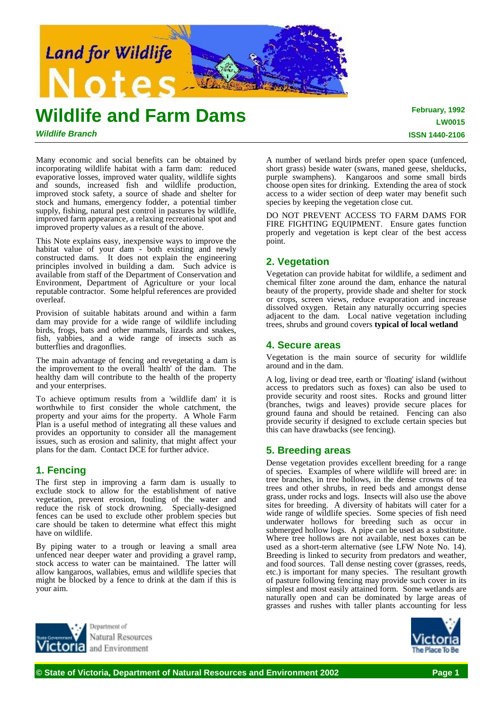

# **Wildlife and Farm Dams**

## *Wildlife Branch*

Many economic and social benefits can be obtained by incorporating wildlife habitat with a farm dam: reduced evaporative losses, improved water quality, wildlife sights and sounds, increased fish and wildlife production, improved stock safety, a source of shade and shelter for stock and humans, emergency fodder, a potential timber supply, fishing, natural pest control in pastures by wildlife, improved farm appearance, a relaxing recreational spot and improved property values as a result of the above.

This Note explains easy, inexpensive ways to improve the habitat value of your dam - both existing and newly constructed dams. It does not explain the engineering principles involved in building a dam. Such advice is available from staff of the Department of Conservation and Environment, Department of Agriculture or your local reputable contractor. Some helpful references are provided overleaf.

Provision of suitable habitats around and within a farm dam may provide for a wide range of wildlife including birds, frogs, bats and other mammals, lizards and snakes, fish, yabbies, and a wide range of insects such as butterflies and dragonflies.

The main advantage of fencing and revegetating a dam is the improvement to the overall 'health' of the dam. The healthy dam will contribute to the health of the property and your enterprises.

To achieve optimum results from a 'wildlife dam' it is worthwhile to first consider the whole catchment, the property and your aims for the property. A Whole Farm Plan is a useful method of integrating all these values and provides an opportunity to consider all the management issues, such as erosion and salinity, that might affect your plans for the dam. Contact DCE for further advice.

# **1. Fencing**

The first step in improving a farm dam is usually to exclude stock to allow for the establishment of native vegetation, prevent erosion, fouling of the water and reduce the risk of stock drowning. Specially-designed fences can be used to exclude other problem species but care should be taken to determine what effect this might have on wildlife.

By piping water to a trough or leaving a small area unfenced near deeper water and providing a gravel ramp, stock access to water can be maintained. The latter will allow kangaroos, wallabies, emus and wildlife species that might be blocked by a fence to drink at the dam if this is your aim.

> Denartment of Natural Resources and Environment

A number of wetland birds prefer open space (unfenced, short grass) beside water (swans, maned geese, shelducks, purple swamphens). Kangaroos and some small birds choose open sites for drinking. Extending the area of stock access to a wider section of deep water may benefit such species by keeping the vegetation close cut.

DO NOT PREVENT ACCESS TO FARM DAMS FOR FIRE FIGHTING EQUIPMENT. Ensure gates function properly and vegetation is kept clear of the best access point.

# **2. Vegetation**

Vegetation can provide habitat for wildlife, a sediment and chemical filter zone around the dam, enhance the natural beauty of the property, provide shade and shelter for stock or crops, screen views, reduce evaporation and increase dissolved oxygen. Retain any naturally occurring species adjacent to the dam. Local native vegetation including trees, shrubs and ground covers **typical of local wetland**

## **4. Secure areas**

Vegetation is the main source of security for wildlife around and in the dam.

A log, living or dead tree, earth or 'floating' island (without access to predators such as foxes) can also be used to provide security and roost sites. Rocks and ground litter (branches, twigs and leaves) provide secure places for ground fauna and should be retained. Fencing can also provide security if designed to exclude certain species but this can have drawbacks (see fencing).

## **5. Breeding areas**

Dense vegetation provides excellent breeding for a range of species. Examples of where wildlife will breed are: in tree branches, in tree hollows, in the dense crowns of tea trees and other shrubs, in reed beds and amongst dense grass, under rocks and logs. Insects will also use the above sites for breeding. A diversity of habitats will cater for a wide range of wildlife species. Some species of fish need underwater hollows for breeding such as occur in submerged hollow logs. A pipe can be used as a substitute. Where tree hollows are not available, nest boxes can be used as a short-term alternative (see LFW Note No. 14). Breeding is linked to security from predators and weather, and food sources. Tall dense nesting cover (grasses, reeds, etc.) is important for many species. The resultant growth of pasture following fencing may provide such cover in its simplest and most easily attained form. Some wetlands are naturally open and can be dominated by large areas of grasses and rushes with taller plants accounting for less